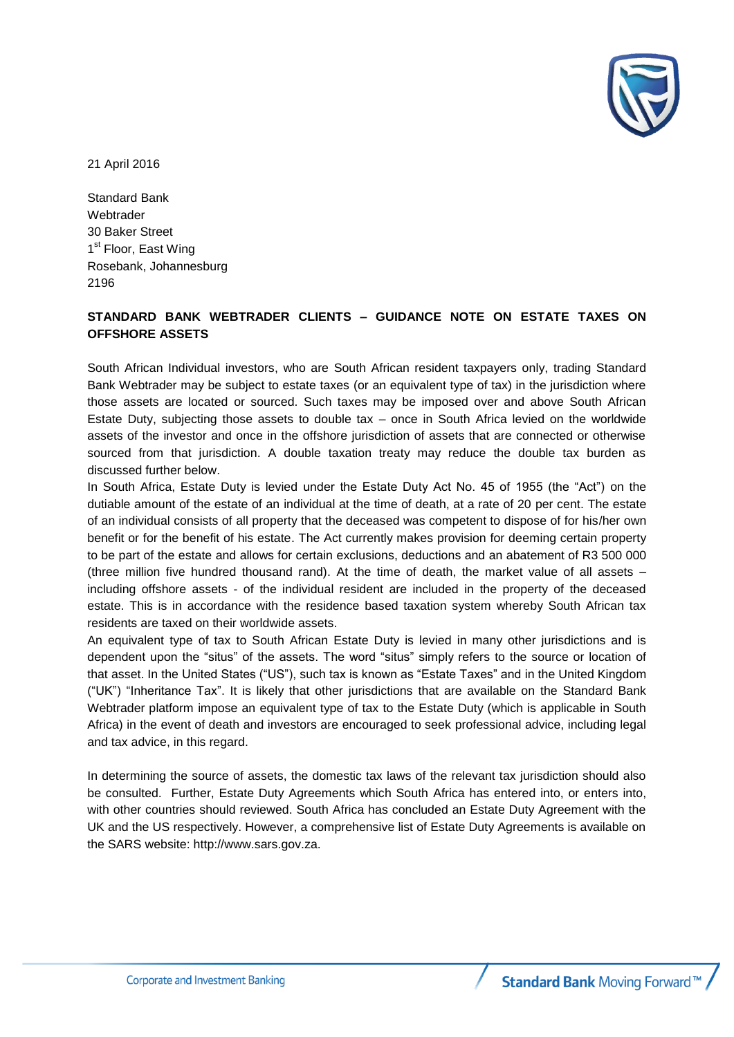

21 April 2016

Standard Bank Webtrader 30 Baker Street 1<sup>st</sup> Floor, East Wing Rosebank, Johannesburg 2196

## **STANDARD BANK WEBTRADER CLIENTS – GUIDANCE NOTE ON ESTATE TAXES ON OFFSHORE ASSETS**

South African Individual investors, who are South African resident taxpayers only, trading Standard Bank Webtrader may be subject to estate taxes (or an equivalent type of tax) in the jurisdiction where those assets are located or sourced. Such taxes may be imposed over and above South African Estate Duty, subjecting those assets to double tax – once in South Africa levied on the worldwide assets of the investor and once in the offshore jurisdiction of assets that are connected or otherwise sourced from that jurisdiction. A double taxation treaty may reduce the double tax burden as discussed further below.

In South Africa, Estate Duty is levied under the Estate Duty Act No. 45 of 1955 (the "Act") on the dutiable amount of the estate of an individual at the time of death, at a rate of 20 per cent. The estate of an individual consists of all property that the deceased was competent to dispose of for his/her own benefit or for the benefit of his estate. The Act currently makes provision for deeming certain property to be part of the estate and allows for certain exclusions, deductions and an abatement of R3 500 000 (three million five hundred thousand rand). At the time of death, the market value of all assets – including offshore assets - of the individual resident are included in the property of the deceased estate. This is in accordance with the residence based taxation system whereby South African tax residents are taxed on their worldwide assets.

An equivalent type of tax to South African Estate Duty is levied in many other jurisdictions and is dependent upon the "situs" of the assets. The word "situs" simply refers to the source or location of that asset. In the United States ("US"), such tax is known as "Estate Taxes" and in the United Kingdom ("UK") "Inheritance Tax". It is likely that other jurisdictions that are available on the Standard Bank Webtrader platform impose an equivalent type of tax to the Estate Duty (which is applicable in South Africa) in the event of death and investors are encouraged to seek professional advice, including legal and tax advice, in this regard.

In determining the source of assets, the domestic tax laws of the relevant tax jurisdiction should also be consulted. Further, Estate Duty Agreements which South Africa has entered into, or enters into, with other countries should reviewed. South Africa has concluded an Estate Duty Agreement with the UK and the US respectively. However, a comprehensive list of Estate Duty Agreements is available on the SARS website: http://www.sars.gov.za.

**Standard Bank Moving Forward™**